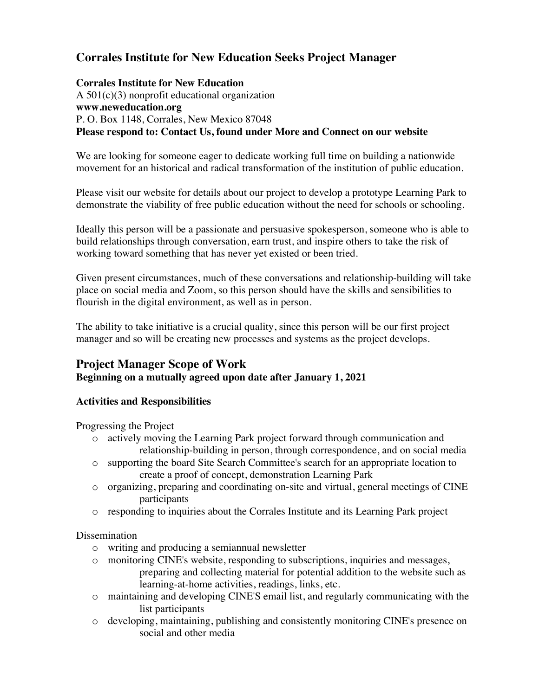# **Corrales Institute for New Education Seeks Project Manager**

#### **Corrales Institute for New Education**

A 501(c)(3) nonprofit educational organization **www.neweducation.org** P. O. Box 1148, Corrales, New Mexico 87048 **Please respond to: Contact Us, found under More and Connect on our website**

We are looking for someone eager to dedicate working full time on building a nationwide movement for an historical and radical transformation of the institution of public education.

Please visit our website for details about our project to develop a prototype Learning Park to demonstrate the viability of free public education without the need for schools or schooling.

Ideally this person will be a passionate and persuasive spokesperson, someone who is able to build relationships through conversation, earn trust, and inspire others to take the risk of working toward something that has never yet existed or been tried.

Given present circumstances, much of these conversations and relationship-building will take place on social media and Zoom, so this person should have the skills and sensibilities to flourish in the digital environment, as well as in person.

The ability to take initiative is a crucial quality, since this person will be our first project manager and so will be creating new processes and systems as the project develops.

## **Project Manager Scope of Work Beginning on a mutually agreed upon date after January 1, 2021**

### **Activities and Responsibilities**

Progressing the Project

- o actively moving the Learning Park project forward through communication and relationship-building in person, through correspondence, and on social media
- o supporting the board Site Search Committee's search for an appropriate location to create a proof of concept, demonstration Learning Park
- o organizing, preparing and coordinating on-site and virtual, general meetings of CINE participants
- o responding to inquiries about the Corrales Institute and its Learning Park project

Dissemination

- o writing and producing a semiannual newsletter
- o monitoring CINE's website, responding to subscriptions, inquiries and messages, preparing and collecting material for potential addition to the website such as learning-at-home activities, readings, links, etc.
- o maintaining and developing CINE'S email list, and regularly communicating with the list participants
- o developing, maintaining, publishing and consistently monitoring CINE's presence on social and other media